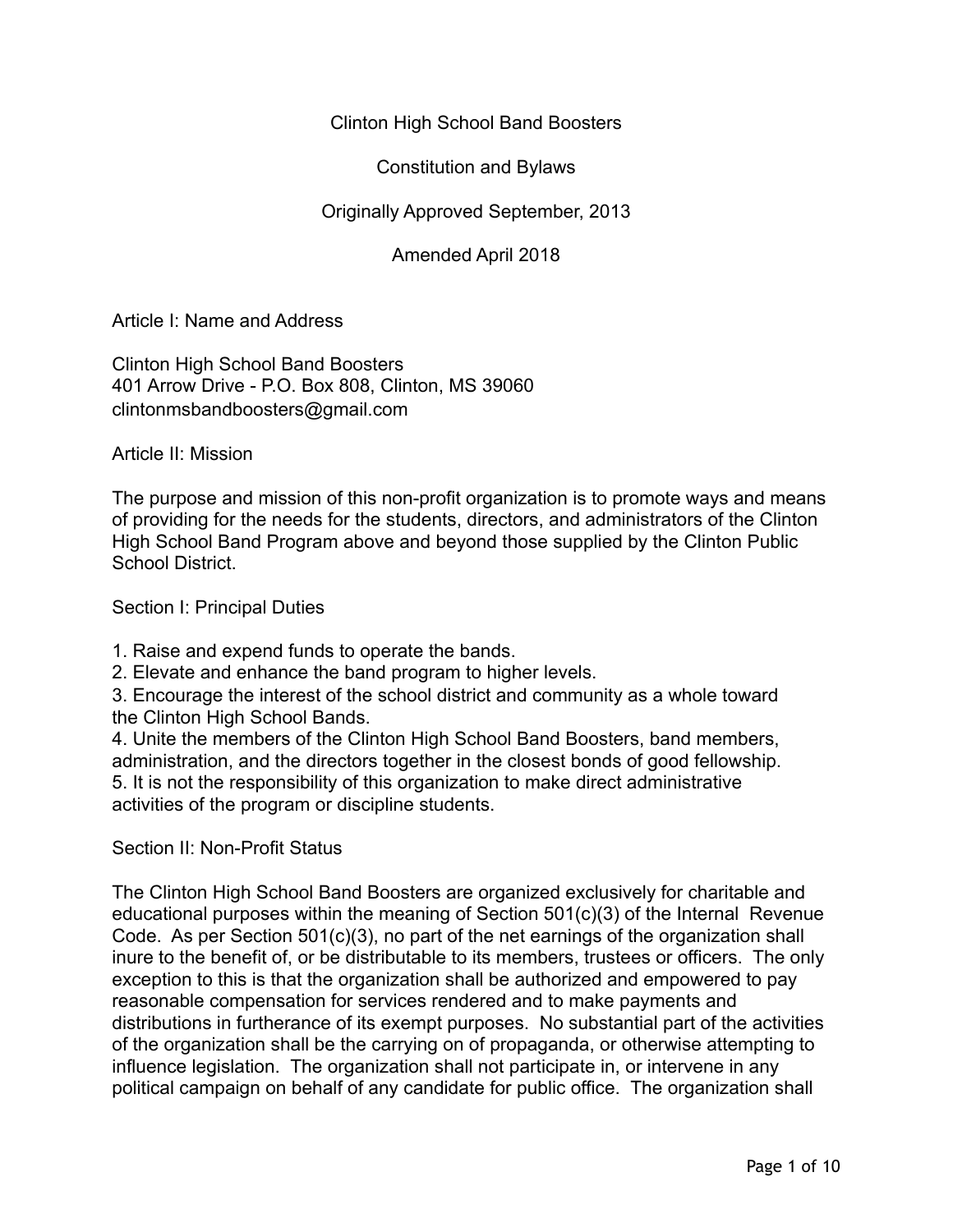# Clinton High School Band Boosters

Constitution and Bylaws

# Originally Approved September, 2013

Amended April 2018

Article I: Name and Address

Clinton High School Band Boosters 401 Arrow Drive - P.O. Box 808, Clinton, MS 39060 clintonmsbandboosters@gmail.com

Article II: Mission

The purpose and mission of this non-profit organization is to promote ways and means of providing for the needs for the students, directors, and administrators of the Clinton High School Band Program above and beyond those supplied by the Clinton Public School District.

Section I: Principal Duties

1. Raise and expend funds to operate the bands.

2. Elevate and enhance the band program to higher levels.

3. Encourage the interest of the school district and community as a whole toward the Clinton High School Bands.

4. Unite the members of the Clinton High School Band Boosters, band members, administration, and the directors together in the closest bonds of good fellowship. 5. It is not the responsibility of this organization to make direct administrative activities of the program or discipline students.

Section II: Non-Profit Status

The Clinton High School Band Boosters are organized exclusively for charitable and educational purposes within the meaning of Section 501(c)(3) of the Internal Revenue Code. As per Section 501(c)(3), no part of the net earnings of the organization shall inure to the benefit of, or be distributable to its members, trustees or officers. The only exception to this is that the organization shall be authorized and empowered to pay reasonable compensation for services rendered and to make payments and distributions in furtherance of its exempt purposes. No substantial part of the activities of the organization shall be the carrying on of propaganda, or otherwise attempting to influence legislation. The organization shall not participate in, or intervene in any political campaign on behalf of any candidate for public office. The organization shall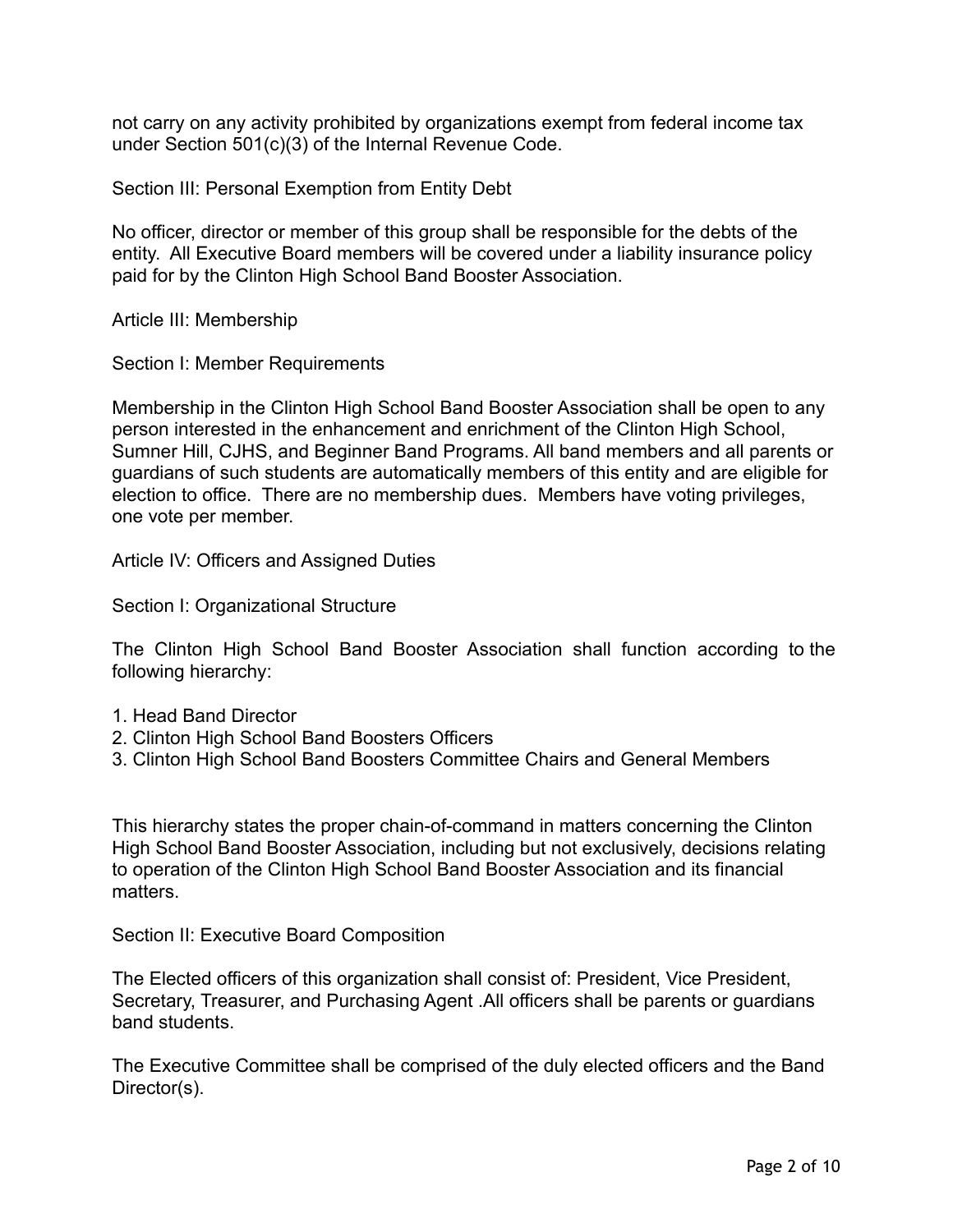not carry on any activity prohibited by organizations exempt from federal income tax under Section 501(c)(3) of the Internal Revenue Code.

Section III: Personal Exemption from Entity Debt

No officer, director or member of this group shall be responsible for the debts of the entity. All Executive Board members will be covered under a liability insurance policy paid for by the Clinton High School Band Booster Association.

Article III: Membership

Section I: Member Requirements

Membership in the Clinton High School Band Booster Association shall be open to any person interested in the enhancement and enrichment of the Clinton High School, Sumner Hill, CJHS, and Beginner Band Programs. All band members and all parents or guardians of such students are automatically members of this entity and are eligible for election to office. There are no membership dues. Members have voting privileges, one vote per member.

Article IV: Officers and Assigned Duties

Section I: Organizational Structure

The Clinton High School Band Booster Association shall function according to the following hierarchy:

- 1. Head Band Director
- 2. Clinton High School Band Boosters Officers
- 3. Clinton High School Band Boosters Committee Chairs and General Members

This hierarchy states the proper chain-of-command in matters concerning the Clinton High School Band Booster Association, including but not exclusively, decisions relating to operation of the Clinton High School Band Booster Association and its financial matters.

Section II: Executive Board Composition

The Elected officers of this organization shall consist of: President, Vice President, Secretary, Treasurer, and Purchasing Agent .All officers shall be parents or guardians band students.

The Executive Committee shall be comprised of the duly elected officers and the Band Director(s).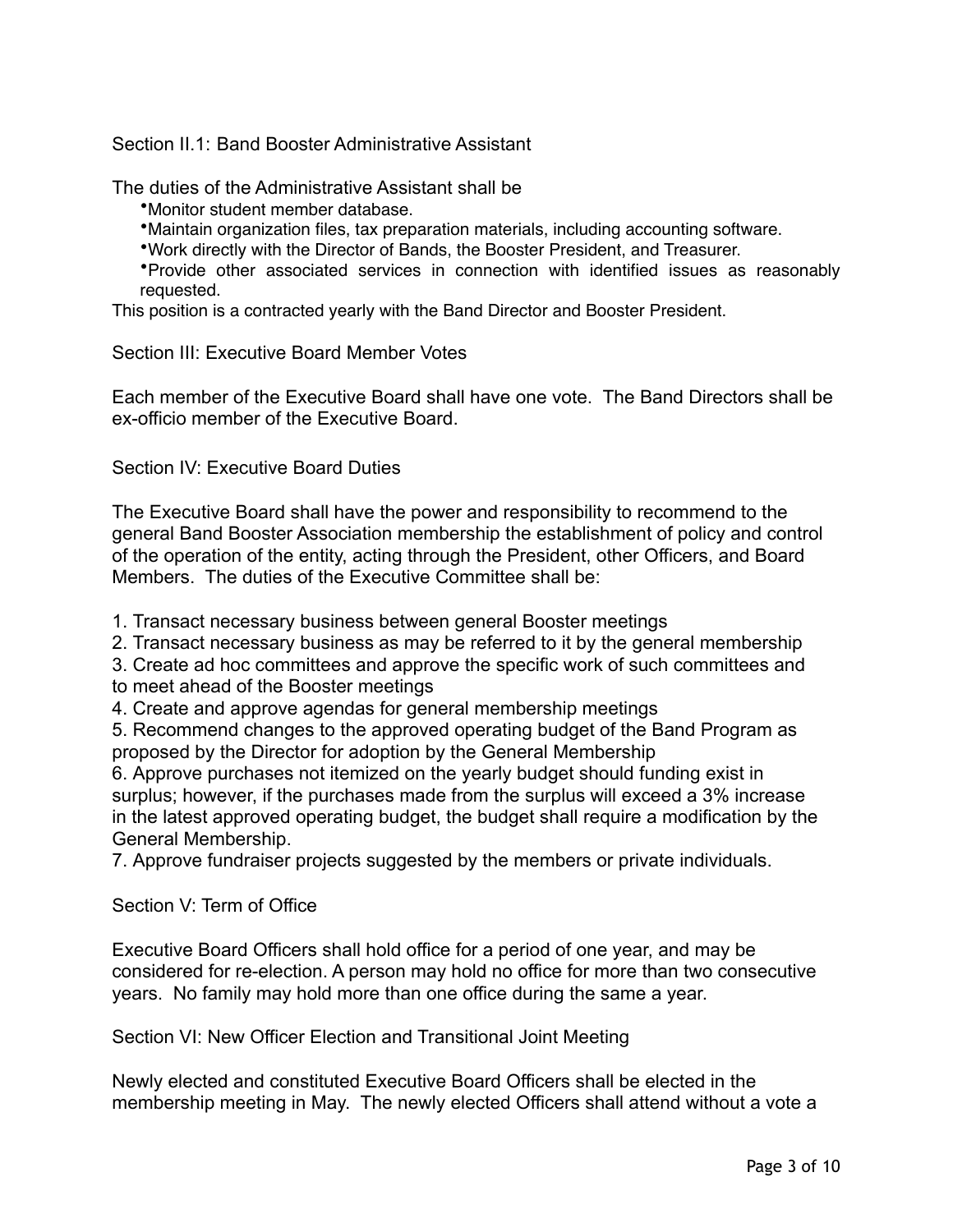Section II.1: Band Booster Administrative Assistant

The duties of the Administrative Assistant shall be

•Monitor student member database.

- •Maintain organization files, tax preparation materials, including accounting software.
- •Work directly with the Director of Bands, the Booster President, and Treasurer.

•Provide other associated services in connection with identified issues as reasonably requested.

This position is a contracted yearly with the Band Director and Booster President.

Section III: Executive Board Member Votes

Each member of the Executive Board shall have one vote. The Band Directors shall be ex-officio member of the Executive Board.

Section IV: Executive Board Duties

The Executive Board shall have the power and responsibility to recommend to the general Band Booster Association membership the establishment of policy and control of the operation of the entity, acting through the President, other Officers, and Board Members. The duties of the Executive Committee shall be:

1. Transact necessary business between general Booster meetings

2. Transact necessary business as may be referred to it by the general membership

3. Create ad hoc committees and approve the specific work of such committees and to meet ahead of the Booster meetings

4. Create and approve agendas for general membership meetings

5. Recommend changes to the approved operating budget of the Band Program as proposed by the Director for adoption by the General Membership

6. Approve purchases not itemized on the yearly budget should funding exist in surplus; however, if the purchases made from the surplus will exceed a 3% increase in the latest approved operating budget, the budget shall require a modification by the General Membership.

7. Approve fundraiser projects suggested by the members or private individuals.

Section V: Term of Office

Executive Board Officers shall hold office for a period of one year, and may be considered for re-election. A person may hold no office for more than two consecutive years. No family may hold more than one office during the same a year.

Section VI: New Officer Election and Transitional Joint Meeting

Newly elected and constituted Executive Board Officers shall be elected in the membership meeting in May. The newly elected Officers shall attend without a vote a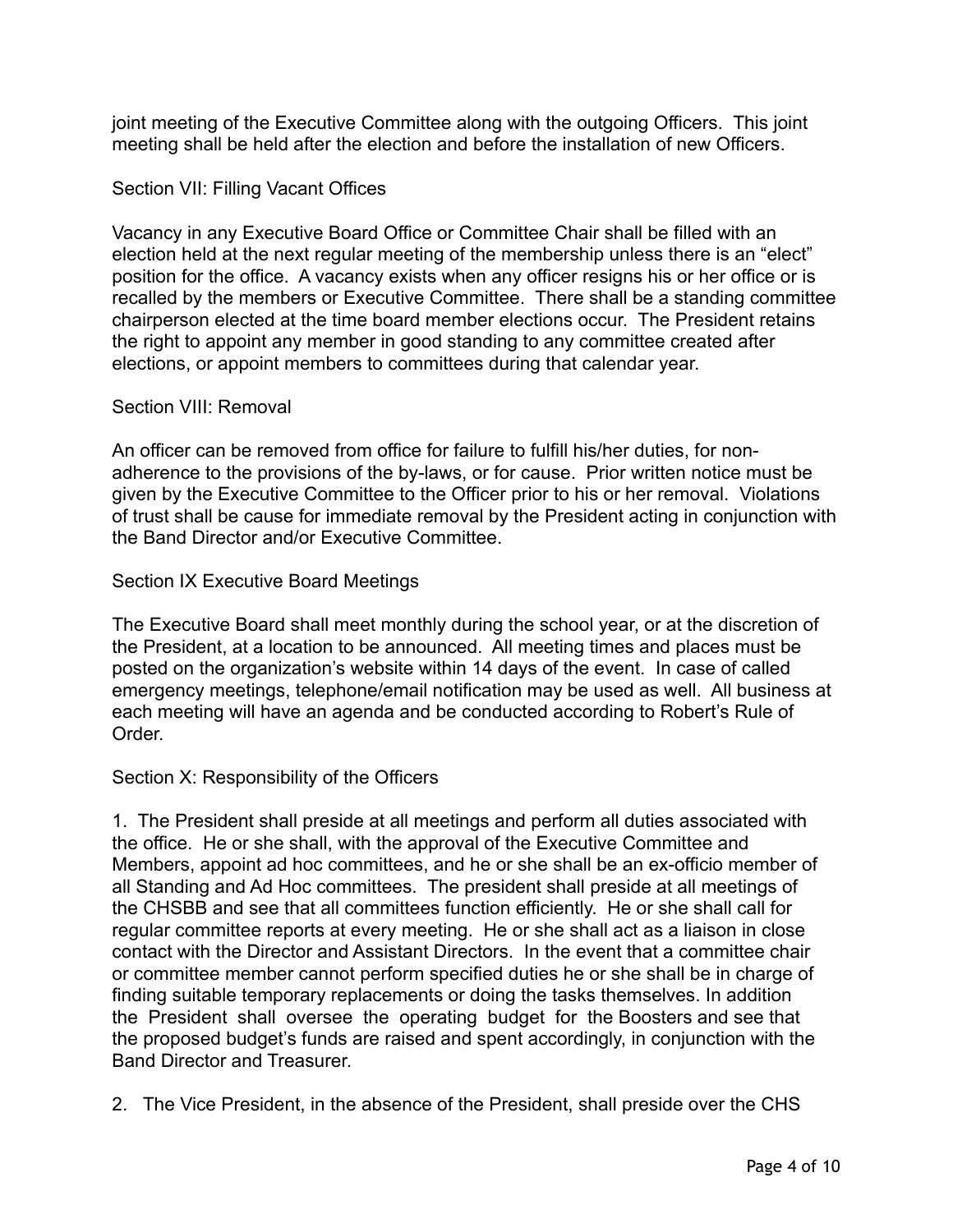joint meeting of the Executive Committee along with the outgoing Officers. This joint meeting shall be held after the election and before the installation of new Officers.

## Section VII: Filling Vacant Offices

Vacancy in any Executive Board Office or Committee Chair shall be filled with an election held at the next regular meeting of the membership unless there is an "elect" position for the office. A vacancy exists when any officer resigns his or her office or is recalled by the members or Executive Committee. There shall be a standing committee chairperson elected at the time board member elections occur. The President retains the right to appoint any member in good standing to any committee created after elections, or appoint members to committees during that calendar year.

#### Section VIII: Removal

An officer can be removed from office for failure to fulfill his/her duties, for nonadherence to the provisions of the by-laws, or for cause. Prior written notice must be given by the Executive Committee to the Officer prior to his or her removal. Violations of trust shall be cause for immediate removal by the President acting in conjunction with the Band Director and/or Executive Committee.

### Section IX Executive Board Meetings

The Executive Board shall meet monthly during the school year, or at the discretion of the President, at a location to be announced. All meeting times and places must be posted on the organization's website within 14 days of the event. In case of called emergency meetings, telephone/email notification may be used as well. All business at each meeting will have an agenda and be conducted according to Robert's Rule of Order.

## Section X: Responsibility of the Officers

1. The President shall preside at all meetings and perform all duties associated with the office. He or she shall, with the approval of the Executive Committee and Members, appoint ad hoc committees, and he or she shall be an ex-officio member of all Standing and Ad Hoc committees. The president shall preside at all meetings of the CHSBB and see that all committees function efficiently. He or she shall call for regular committee reports at every meeting. He or she shall act as a liaison in close contact with the Director and Assistant Directors. In the event that a committee chair or committee member cannot perform specified duties he or she shall be in charge of finding suitable temporary replacements or doing the tasks themselves. In addition the President shall oversee the operating budget for the Boosters and see that the proposed budget's funds are raised and spent accordingly, in conjunction with the Band Director and Treasurer.

2. The Vice President, in the absence of the President, shall preside over the CHS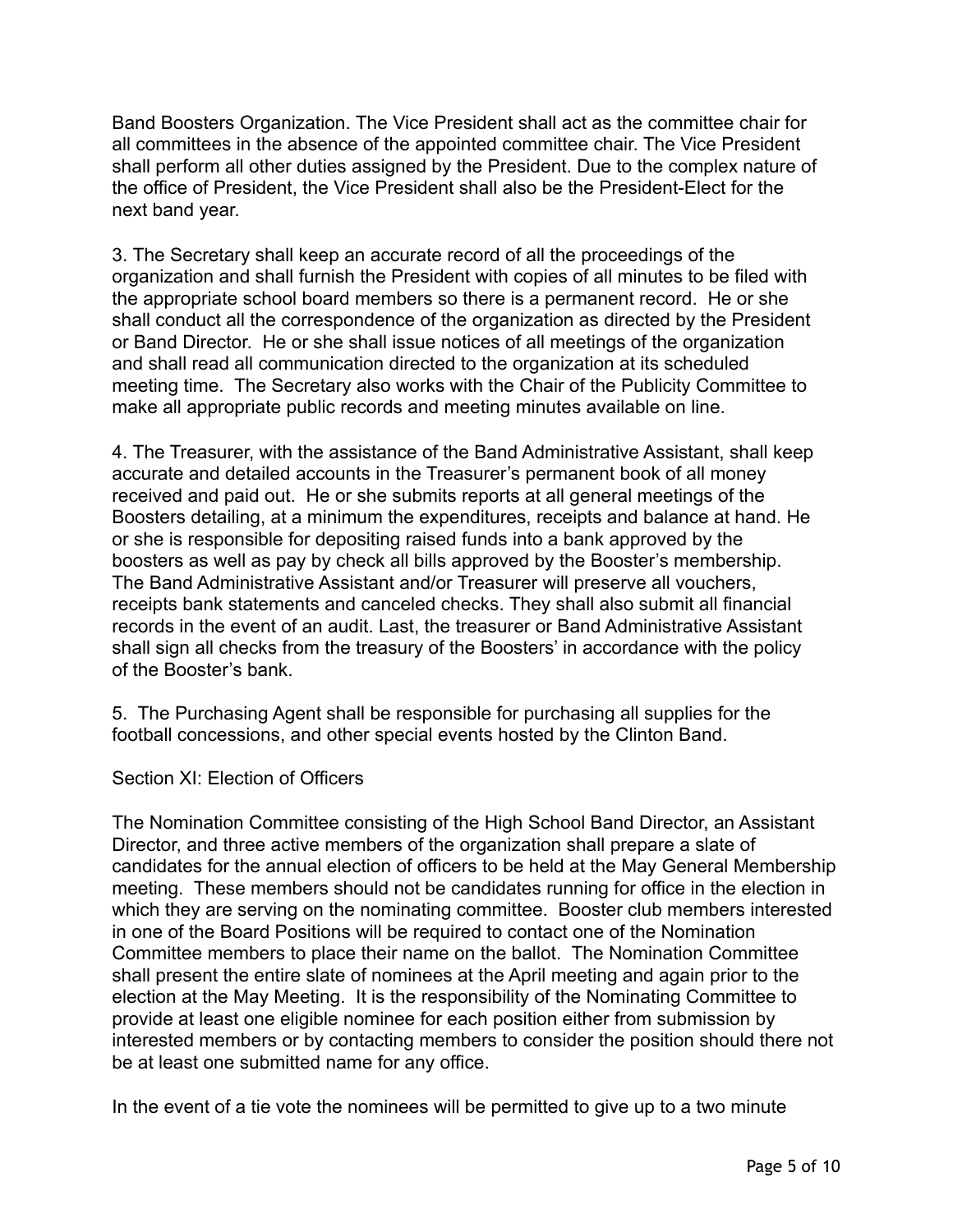Band Boosters Organization. The Vice President shall act as the committee chair for all committees in the absence of the appointed committee chair. The Vice President shall perform all other duties assigned by the President. Due to the complex nature of the office of President, the Vice President shall also be the President-Elect for the next band year.

3. The Secretary shall keep an accurate record of all the proceedings of the organization and shall furnish the President with copies of all minutes to be filed with the appropriate school board members so there is a permanent record. He or she shall conduct all the correspondence of the organization as directed by the President or Band Director. He or she shall issue notices of all meetings of the organization and shall read all communication directed to the organization at its scheduled meeting time. The Secretary also works with the Chair of the Publicity Committee to make all appropriate public records and meeting minutes available on line.

4. The Treasurer, with the assistance of the Band Administrative Assistant, shall keep accurate and detailed accounts in the Treasurer's permanent book of all money received and paid out. He or she submits reports at all general meetings of the Boosters detailing, at a minimum the expenditures, receipts and balance at hand. He or she is responsible for depositing raised funds into a bank approved by the boosters as well as pay by check all bills approved by the Booster's membership. The Band Administrative Assistant and/or Treasurer will preserve all vouchers, receipts bank statements and canceled checks. They shall also submit all financial records in the event of an audit. Last, the treasurer or Band Administrative Assistant shall sign all checks from the treasury of the Boosters' in accordance with the policy of the Booster's bank.

5. The Purchasing Agent shall be responsible for purchasing all supplies for the football concessions, and other special events hosted by the Clinton Band.

Section XI: Election of Officers

The Nomination Committee consisting of the High School Band Director, an Assistant Director, and three active members of the organization shall prepare a slate of candidates for the annual election of officers to be held at the May General Membership meeting. These members should not be candidates running for office in the election in which they are serving on the nominating committee. Booster club members interested in one of the Board Positions will be required to contact one of the Nomination Committee members to place their name on the ballot. The Nomination Committee shall present the entire slate of nominees at the April meeting and again prior to the election at the May Meeting. It is the responsibility of the Nominating Committee to provide at least one eligible nominee for each position either from submission by interested members or by contacting members to consider the position should there not be at least one submitted name for any office.

In the event of a tie vote the nominees will be permitted to give up to a two minute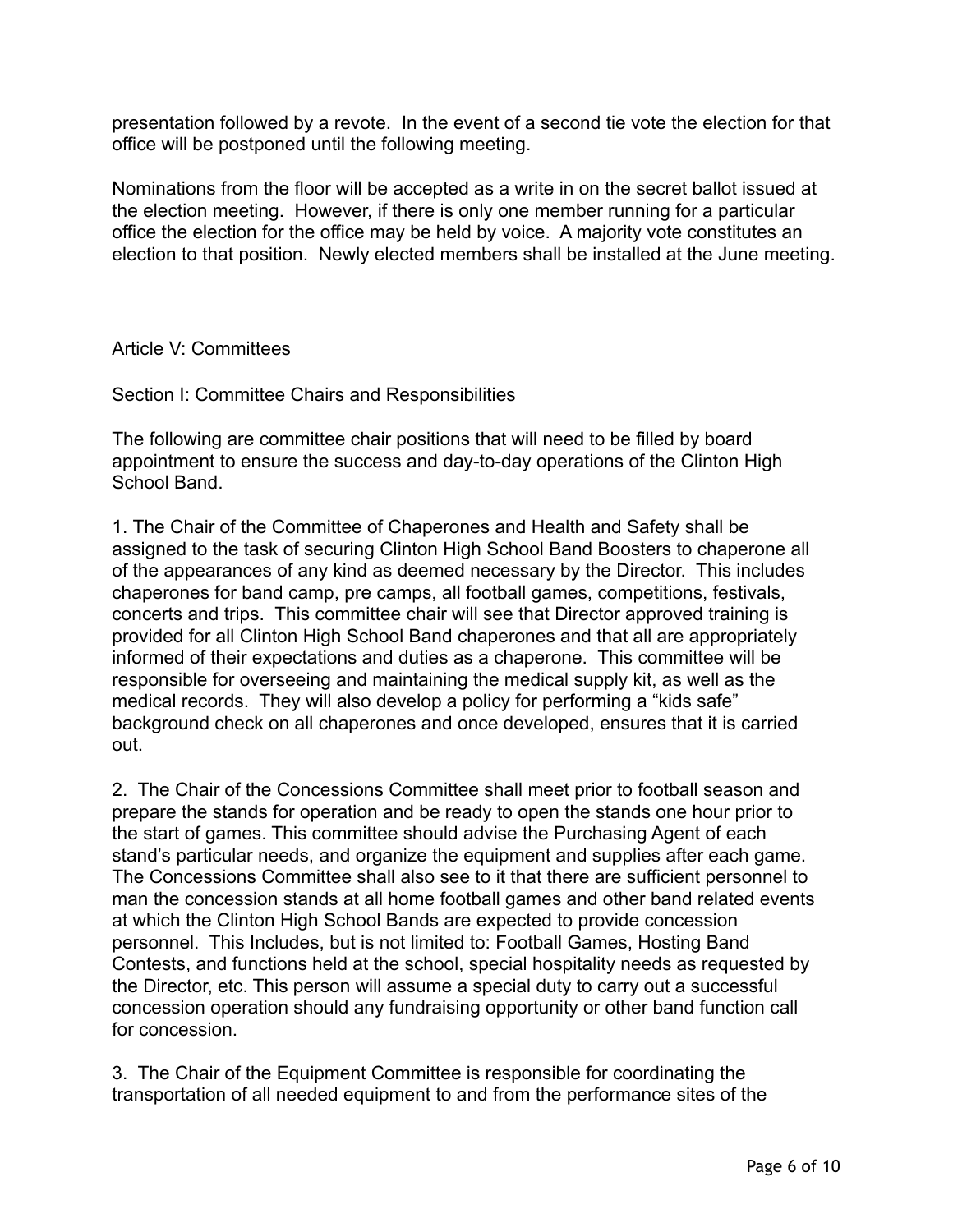presentation followed by a revote. In the event of a second tie vote the election for that office will be postponed until the following meeting.

Nominations from the floor will be accepted as a write in on the secret ballot issued at the election meeting. However, if there is only one member running for a particular office the election for the office may be held by voice. A majority vote constitutes an election to that position. Newly elected members shall be installed at the June meeting.

Article V: Committees

Section I: Committee Chairs and Responsibilities

The following are committee chair positions that will need to be filled by board appointment to ensure the success and day-to-day operations of the Clinton High School Band.

1. The Chair of the Committee of Chaperones and Health and Safety shall be assigned to the task of securing Clinton High School Band Boosters to chaperone all of the appearances of any kind as deemed necessary by the Director. This includes chaperones for band camp, pre camps, all football games, competitions, festivals, concerts and trips. This committee chair will see that Director approved training is provided for all Clinton High School Band chaperones and that all are appropriately informed of their expectations and duties as a chaperone. This committee will be responsible for overseeing and maintaining the medical supply kit, as well as the medical records. They will also develop a policy for performing a "kids safe" background check on all chaperones and once developed, ensures that it is carried out.

2. The Chair of the Concessions Committee shall meet prior to football season and prepare the stands for operation and be ready to open the stands one hour prior to the start of games. This committee should advise the Purchasing Agent of each stand's particular needs, and organize the equipment and supplies after each game. The Concessions Committee shall also see to it that there are sufficient personnel to man the concession stands at all home football games and other band related events at which the Clinton High School Bands are expected to provide concession personnel. This Includes, but is not limited to: Football Games, Hosting Band Contests, and functions held at the school, special hospitality needs as requested by the Director, etc. This person will assume a special duty to carry out a successful concession operation should any fundraising opportunity or other band function call for concession.

3. The Chair of the Equipment Committee is responsible for coordinating the transportation of all needed equipment to and from the performance sites of the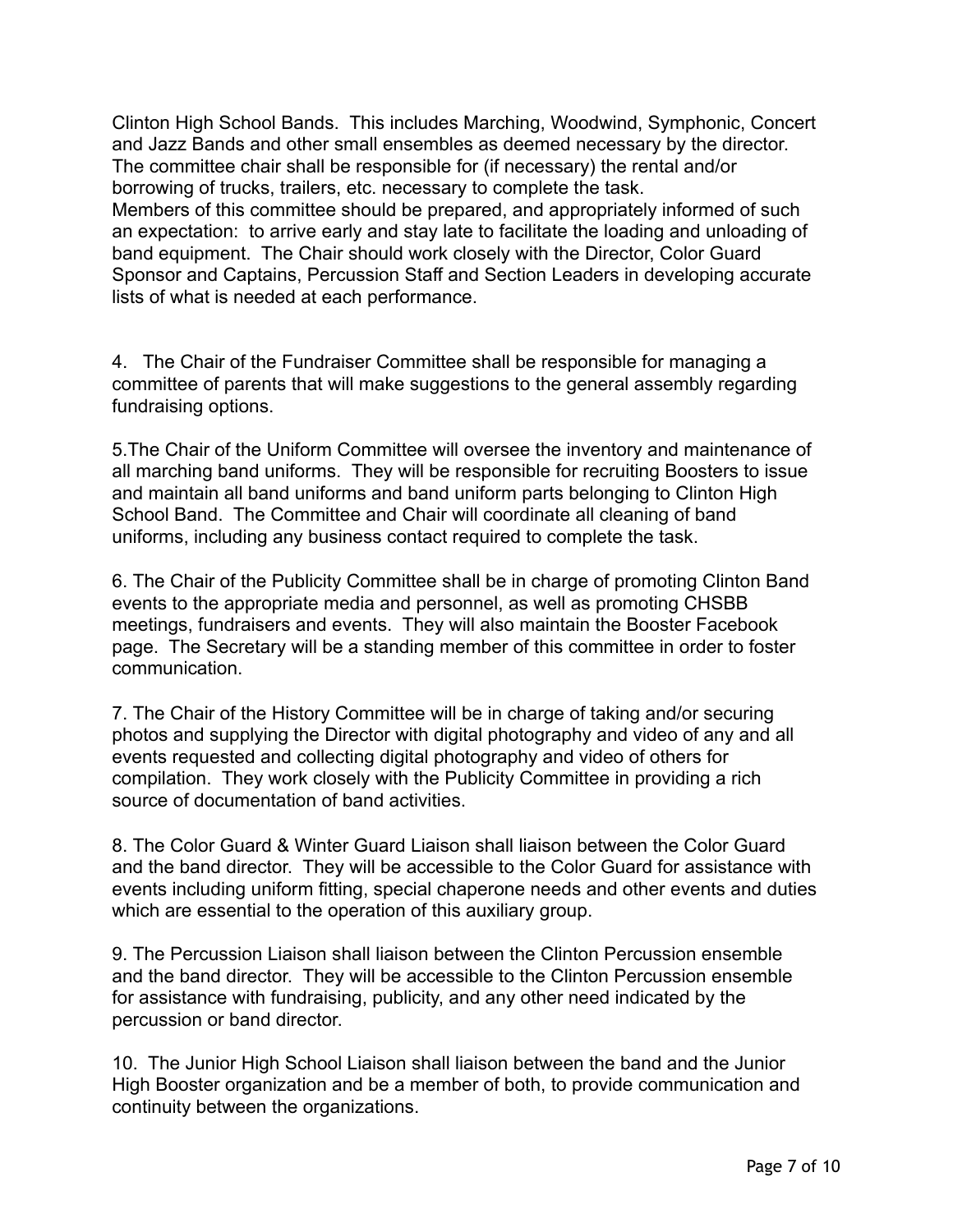Clinton High School Bands. This includes Marching, Woodwind, Symphonic, Concert and Jazz Bands and other small ensembles as deemed necessary by the director. The committee chair shall be responsible for (if necessary) the rental and/or borrowing of trucks, trailers, etc. necessary to complete the task. Members of this committee should be prepared, and appropriately informed of such an expectation: to arrive early and stay late to facilitate the loading and unloading of band equipment. The Chair should work closely with the Director, Color Guard Sponsor and Captains, Percussion Staff and Section Leaders in developing accurate lists of what is needed at each performance.

4. The Chair of the Fundraiser Committee shall be responsible for managing a committee of parents that will make suggestions to the general assembly regarding fundraising options.

5. The Chair of the Uniform Committee will oversee the inventory and maintenance of all marching band uniforms. They will be responsible for recruiting Boosters to issue and maintain all band uniforms and band uniform parts belonging to Clinton High School Band. The Committee and Chair will coordinate all cleaning of band uniforms, including any business contact required to complete the task.

6. The Chair of the Publicity Committee shall be in charge of promoting Clinton Band events to the appropriate media and personnel, as well as promoting CHSBB meetings, fundraisers and events. They will also maintain the Booster Facebook page. The Secretary will be a standing member of this committee in order to foster communication.

7. The Chair of the History Committee will be in charge of taking and/or securing photos and supplying the Director with digital photography and video of any and all events requested and collecting digital photography and video of others for compilation. They work closely with the Publicity Committee in providing a rich source of documentation of band activities.

8. The Color Guard & Winter Guard Liaison shall liaison between the Color Guard and the band director. They will be accessible to the Color Guard for assistance with events including uniform fitting, special chaperone needs and other events and duties which are essential to the operation of this auxiliary group.

9. The Percussion Liaison shall liaison between the Clinton Percussion ensemble and the band director. They will be accessible to the Clinton Percussion ensemble for assistance with fundraising, publicity, and any other need indicated by the percussion or band director.

10. The Junior High School Liaison shall liaison between the band and the Junior High Booster organization and be a member of both, to provide communication and continuity between the organizations.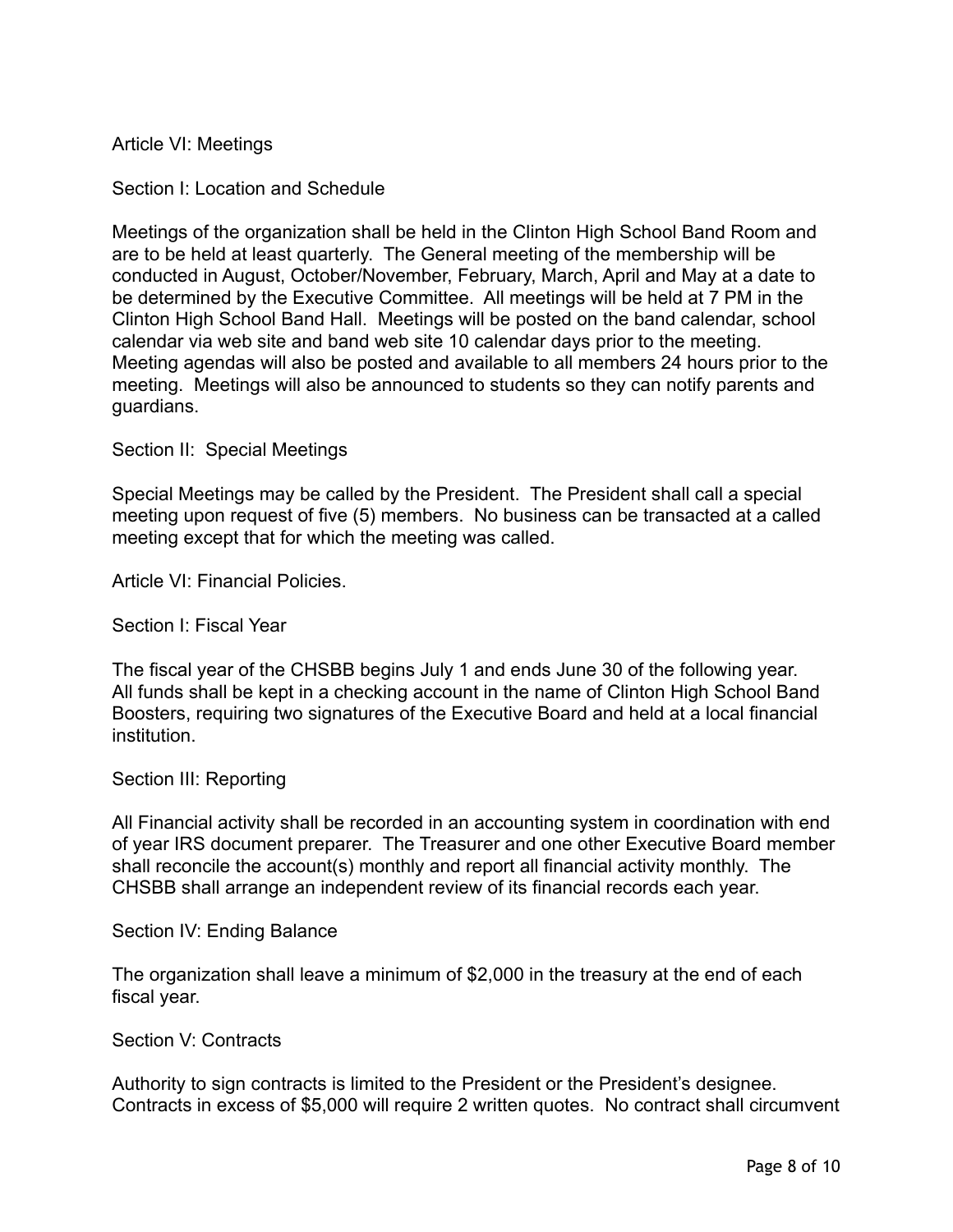Article VI: Meetings

Section I: Location and Schedule

Meetings of the organization shall be held in the Clinton High School Band Room and are to be held at least quarterly. The General meeting of the membership will be conducted in August, October/November, February, March, April and May at a date to be determined by the Executive Committee. All meetings will be held at 7 PM in the Clinton High School Band Hall. Meetings will be posted on the band calendar, school calendar via web site and band web site 10 calendar days prior to the meeting. Meeting agendas will also be posted and available to all members 24 hours prior to the meeting. Meetings will also be announced to students so they can notify parents and guardians.

Section II: Special Meetings

Special Meetings may be called by the President. The President shall call a special meeting upon request of five (5) members. No business can be transacted at a called meeting except that for which the meeting was called.

Article VI: Financial Policies.

Section I: Fiscal Year

The fiscal year of the CHSBB begins July 1 and ends June 30 of the following year. All funds shall be kept in a checking account in the name of Clinton High School Band Boosters, requiring two signatures of the Executive Board and held at a local financial institution.

#### Section III: Reporting

All Financial activity shall be recorded in an accounting system in coordination with end of year IRS document preparer. The Treasurer and one other Executive Board member shall reconcile the account(s) monthly and report all financial activity monthly. The CHSBB shall arrange an independent review of its financial records each year.

Section IV: Ending Balance

The organization shall leave a minimum of \$2,000 in the treasury at the end of each fiscal year.

Section V: Contracts

Authority to sign contracts is limited to the President or the President's designee. Contracts in excess of \$5,000 will require 2 written quotes. No contract shall circumvent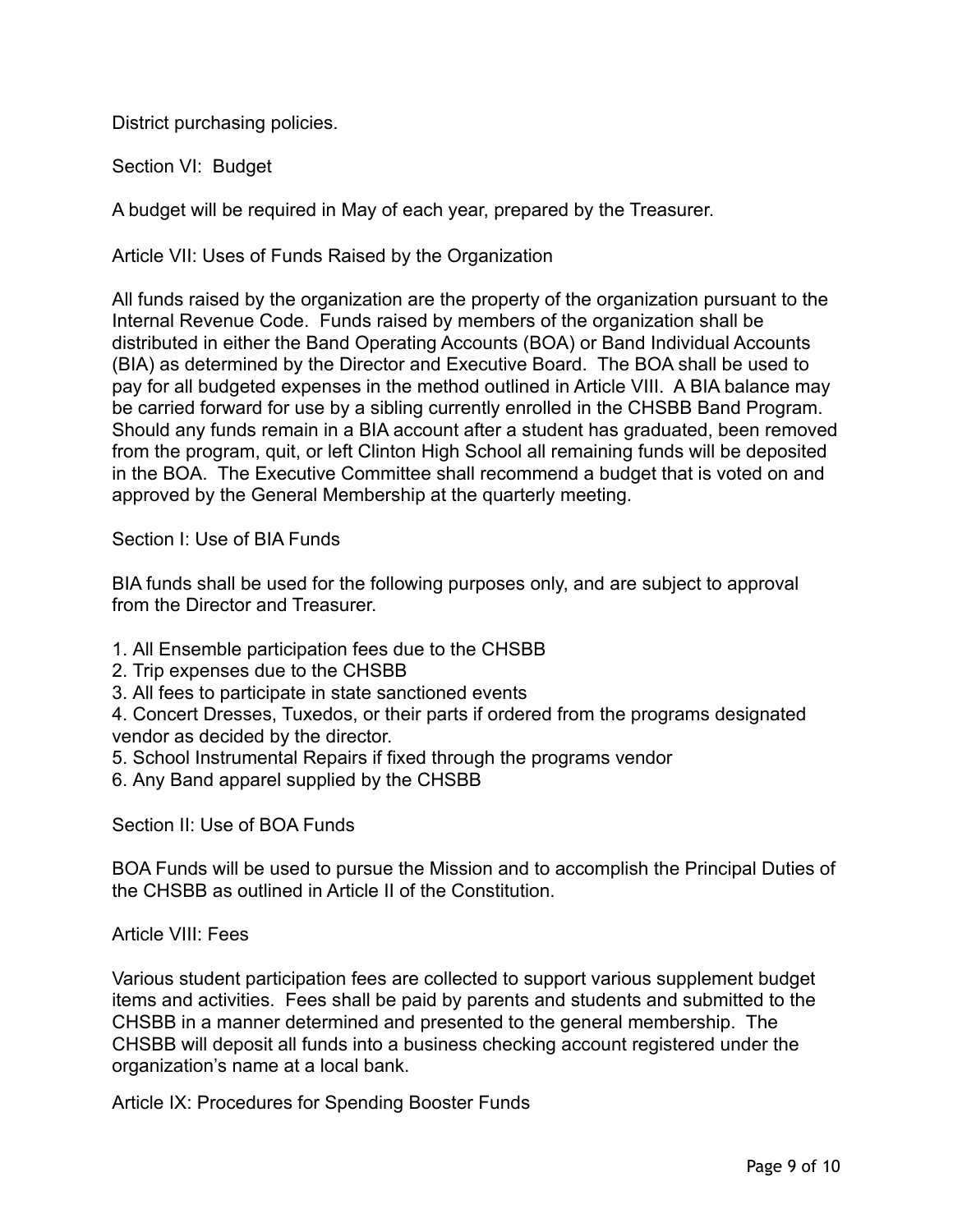District purchasing policies.

Section VI: Budget

A budget will be required in May of each year, prepared by the Treasurer.

Article VII: Uses of Funds Raised by the Organization

All funds raised by the organization are the property of the organization pursuant to the Internal Revenue Code. Funds raised by members of the organization shall be distributed in either the Band Operating Accounts (BOA) or Band Individual Accounts (BIA) as determined by the Director and Executive Board. The BOA shall be used to pay for all budgeted expenses in the method outlined in Article VIII. A BIA balance may be carried forward for use by a sibling currently enrolled in the CHSBB Band Program. Should any funds remain in a BIA account after a student has graduated, been removed from the program, quit, or left Clinton High School all remaining funds will be deposited in the BOA. The Executive Committee shall recommend a budget that is voted on and approved by the General Membership at the quarterly meeting.

Section I: Use of BIA Funds

BIA funds shall be used for the following purposes only, and are subject to approval from the Director and Treasurer.

- 1. All Ensemble participation fees due to the CHSBB
- 2. Trip expenses due to the CHSBB
- 3. All fees to participate in state sanctioned events

4. Concert Dresses, Tuxedos, or their parts if ordered from the programs designated vendor as decided by the director.

- 5. School Instrumental Repairs if fixed through the programs vendor
- 6. Any Band apparel supplied by the CHSBB

Section II: Use of BOA Funds

BOA Funds will be used to pursue the Mission and to accomplish the Principal Duties of the CHSBB as outlined in Article II of the Constitution.

Article VIII: Fees

Various student participation fees are collected to support various supplement budget items and activities. Fees shall be paid by parents and students and submitted to the CHSBB in a manner determined and presented to the general membership. The CHSBB will deposit all funds into a business checking account registered under the organization's name at a local bank.

Article IX: Procedures for Spending Booster Funds